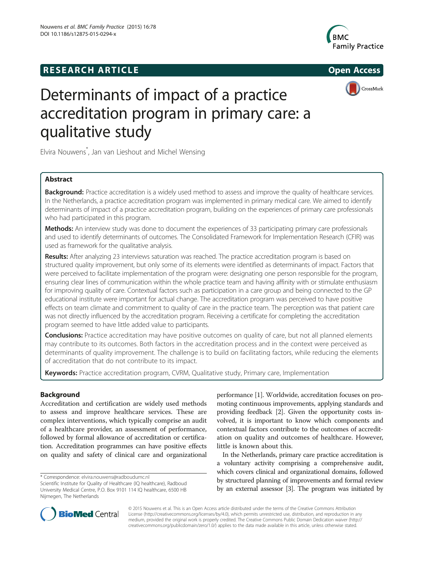# **RESEARCH ARTICLE Example 2014 The SEAR CH ACCESS**





# Determinants of impact of a practice accreditation program in primary care: a qualitative study

Elvira Nouwens\* , Jan van Lieshout and Michel Wensing

# Abstract

Background: Practice accreditation is a widely used method to assess and improve the quality of healthcare services. In the Netherlands, a practice accreditation program was implemented in primary medical care. We aimed to identify determinants of impact of a practice accreditation program, building on the experiences of primary care professionals who had participated in this program.

Methods: An interview study was done to document the experiences of 33 participating primary care professionals and used to identify determinants of outcomes. The Consolidated Framework for Implementation Research (CFIR) was used as framework for the qualitative analysis.

Results: After analyzing 23 interviews saturation was reached. The practice accreditation program is based on structured quality improvement, but only some of its elements were identified as determinants of impact. Factors that were perceived to facilitate implementation of the program were: designating one person responsible for the program, ensuring clear lines of communication within the whole practice team and having affinity with or stimulate enthusiasm for improving quality of care. Contextual factors such as participation in a care group and being connected to the GP educational institute were important for actual change. The accreditation program was perceived to have positive effects on team climate and commitment to quality of care in the practice team. The perception was that patient care was not directly influenced by the accreditation program. Receiving a certificate for completing the accreditation program seemed to have little added value to participants.

**Conclusions:** Practice accreditation may have positive outcomes on quality of care, but not all planned elements may contribute to its outcomes. Both factors in the accreditation process and in the context were perceived as determinants of quality improvement. The challenge is to build on facilitating factors, while reducing the elements of accreditation that do not contribute to its impact.

Keywords: Practice accreditation program, CVRM, Qualitative study, Primary care, Implementation

# Background

Accreditation and certification are widely used methods to assess and improve healthcare services. These are complex interventions, which typically comprise an audit of a healthcare provider, an assessment of performance, followed by formal allowance of accreditation or certification. Accreditation programmes can have positive effects on quality and safety of clinical care and organizational

\* Correspondence: [elvira.nouwens@radboudumc.nl](mailto:elvira.nouwens@radboudumc.nl)

performance [\[1\]](#page-7-0). Worldwide, accreditation focuses on promoting continuous improvements, applying standards and providing feedback [\[2](#page-7-0)]. Given the opportunity costs involved, it is important to know which components and contextual factors contribute to the outcomes of accreditation on quality and outcomes of healthcare. However, little is known about this.

In the Netherlands, primary care practice accreditation is a voluntary activity comprising a comprehensive audit, which covers clinical and organizational domains, followed by structured planning of improvements and formal review by an external assessor [[3](#page-7-0)]. The program was initiated by



© 2015 Nouwens et al. This is an Open Access article distributed under the terms of the Creative Commons Attribution License (<http://creativecommons.org/licenses/by/4.0>), which permits unrestricted use, distribution, and reproduction in any medium, provided the original work is properly credited. The Creative Commons Public Domain Dedication waiver [\(http://](http://creativecommons.org/publicdomain/zero/1.0/) [creativecommons.org/publicdomain/zero/1.0/\)](http://creativecommons.org/publicdomain/zero/1.0/) applies to the data made available in this article, unless otherwise stated.

Scientific Institute for Quality of Healthcare (IQ healthcare), Radboud University Medical Centre, P.O. Box 9101 114 IQ healthcare, 6500 HB Nijmegen, The Netherlands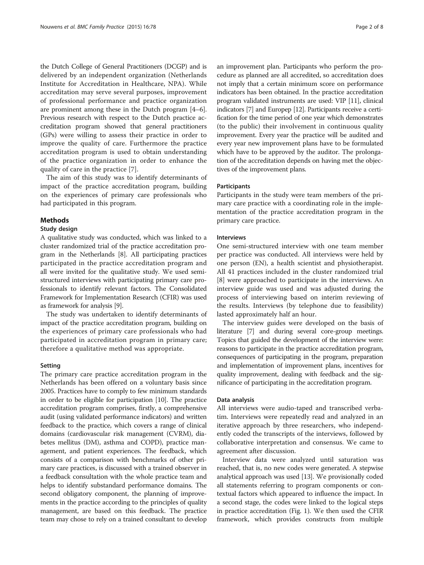the Dutch College of General Practitioners (DCGP) and is delivered by an independent organization (Netherlands Institute for Accreditation in Healthcare, NPA). While accreditation may serve several purposes, improvement of professional performance and practice organization are prominent among these in the Dutch program [[4](#page-7-0)–[6](#page-7-0)]. Previous research with respect to the Dutch practice accreditation program showed that general practitioners (GPs) were willing to assess their practice in order to improve the quality of care. Furthermore the practice accreditation program is used to obtain understanding of the practice organization in order to enhance the quality of care in the practice [[7\]](#page-7-0).

The aim of this study was to identify determinants of impact of the practice accreditation program, building on the experiences of primary care professionals who had participated in this program.

#### Methods

#### Study design

A qualitative study was conducted, which was linked to a cluster randomized trial of the practice accreditation program in the Netherlands [[8\]](#page-7-0). All participating practices participated in the practice accreditation program and all were invited for the qualitative study. We used semistructured interviews with participating primary care professionals to identify relevant factors. The Consolidated Framework for Implementation Research (CFIR) was used as framework for analysis [\[9](#page-7-0)].

The study was undertaken to identify determinants of impact of the practice accreditation program, building on the experiences of primary care professionals who had participated in accreditation program in primary care; therefore a qualitative method was appropriate.

#### Setting

The primary care practice accreditation program in the Netherlands has been offered on a voluntary basis since 2005. Practices have to comply to few minimum standards in order to be eligible for participation [\[10\]](#page-7-0). The practice accreditation program comprises, firstly, a comprehensive audit (using validated performance indicators) and written feedback to the practice, which covers a range of clinical domains (cardiovascular risk management (CVRM), diabetes mellitus (DM), asthma and COPD), practice management, and patient experiences. The feedback, which consists of a comparison with benchmarks of other primary care practices, is discussed with a trained observer in a feedback consultation with the whole practice team and helps to identify substandard performance domains. The second obligatory component, the planning of improvements in the practice according to the principles of quality management, are based on this feedback. The practice team may chose to rely on a trained consultant to develop an improvement plan. Participants who perform the procedure as planned are all accredited, so accreditation does not imply that a certain minimum score on performance indicators has been obtained. In the practice accreditation program validated instruments are used: VIP [\[11](#page-7-0)], clinical indicators [[7\]](#page-7-0) and Europep [\[12\]](#page-7-0). Participants receive a certification for the time period of one year which demonstrates (to the public) their involvement in continuous quality improvement. Every year the practice will be audited and every year new improvement plans have to be formulated which have to be approved by the auditor. The prolongation of the accreditation depends on having met the objectives of the improvement plans.

#### **Participants**

Participants in the study were team members of the primary care practice with a coordinating role in the implementation of the practice accreditation program in the primary care practice.

#### Interviews

One semi-structured interview with one team member per practice was conducted. All interviews were held by one person (EN), a health scientist and physiotherapist. All 41 practices included in the cluster randomized trial [[8\]](#page-7-0) were approached to participate in the interviews. An interview guide was used and was adjusted during the process of interviewing based on interim reviewing of the results. Interviews (by telephone due to feasibility) lasted approximately half an hour.

The interview guides were developed on the basis of literature [\[7\]](#page-7-0) and during several core-group meetings. Topics that guided the development of the interview were: reasons to participate in the practice accreditation program, consequences of participating in the program, preparation and implementation of improvement plans, incentives for quality improvement, dealing with feedback and the significance of participating in the accreditation program.

#### Data analysis

All interviews were audio-taped and transcribed verbatim. Interviews were repeatedly read and analyzed in an iterative approach by three researchers, who independently coded the transcripts of the interviews, followed by collaborative interpretation and consensus. We came to agreement after discussion.

Interview data were analyzed until saturation was reached, that is, no new codes were generated. A stepwise analytical approach was used [[13](#page-7-0)]. We provisionally coded all statements referring to program components or contextual factors which appeared to influence the impact. In a second stage, the codes were linked to the logical steps in practice accreditation (Fig. [1\)](#page-2-0). We then used the CFIR framework, which provides constructs from multiple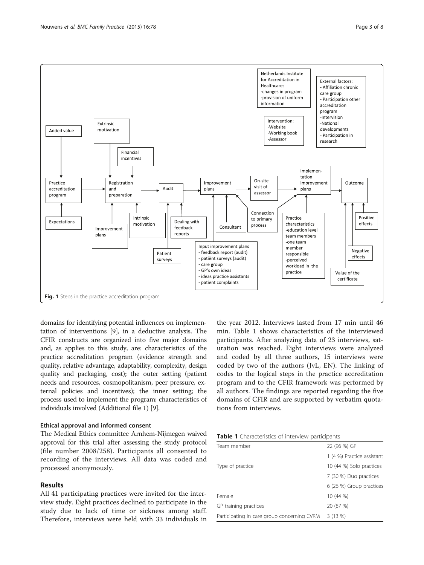<span id="page-2-0"></span>

domains for identifying potential influences on implementation of interventions [[9\]](#page-7-0), in a deductive analysis. The CFIR constructs are organized into five major domains and, as applies to this study, are: characteristics of the practice accreditation program (evidence strength and quality, relative advantage, adaptability, complexity, design quality and packaging, cost); the outer setting (patient needs and resources, cosmopolitanism, peer pressure, external policies and incentives); the inner setting; the process used to implement the program; characteristics of individuals involved (Additional file [1\)](#page-7-0) [\[9](#page-7-0)].

# Ethical approval and informed consent

The Medical Ethics committee Arnhem-Nijmegen waived approval for this trial after assessing the study protocol (file number 2008/258). Participants all consented to recording of the interviews. All data was coded and processed anonymously.

# Results

All 41 participating practices were invited for the interview study. Eight practices declined to participate in the study due to lack of time or sickness among staff. Therefore, interviews were held with 33 individuals in

the year 2012. Interviews lasted from 17 min until 46 min. Table 1 shows characteristics of the interviewed participants. After analyzing data of 23 interviews, saturation was reached. Eight interviews were analyzed and coded by all three authors, 15 interviews were coded by two of the authors (JvL, EN). The linking of codes to the logical steps in the practice accreditation program and to the CFIR framework was performed by all authors. The findings are reported regarding the five domains of CFIR and are supported by verbatim quotations from interviews.

| Table 1 Characteristics of interview participants |  |
|---------------------------------------------------|--|
|---------------------------------------------------|--|

| Team member                                 | 22 (96 %) GP               |
|---------------------------------------------|----------------------------|
|                                             | 1 (4 %) Practice assistant |
| Type of practice                            | 10 (44 %) Solo practices   |
|                                             | 7 (30 %) Duo practices     |
|                                             | 6 (26 %) Group practices   |
| Female                                      | 10 (44 %)                  |
| GP training practices                       | 20 (87 %)                  |
| Participating in care group concerning CVRM | 3(13%)                     |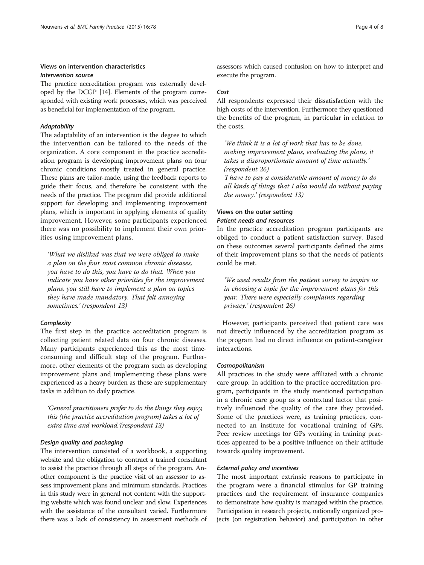# Views on intervention characteristics Intervention source

The practice accreditation program was externally developed by the DCGP [\[14\]](#page-7-0). Elements of the program corresponded with existing work processes, which was perceived as beneficial for implementation of the program.

## **Adaptability**

The adaptability of an intervention is the degree to which the intervention can be tailored to the needs of the organization. A core component in the practice accreditation program is developing improvement plans on four chronic conditions mostly treated in general practice. These plans are tailor-made, using the feedback reports to guide their focus, and therefore be consistent with the needs of the practice. The program did provide additional support for developing and implementing improvement plans, which is important in applying elements of quality improvement. However, some participants experienced there was no possibility to implement their own priorities using improvement plans.

'What we disliked was that we were obliged to make a plan on the four most common chronic diseases, you have to do this, you have to do that. When you indicate you have other priorities for the improvement plans, you still have to implement a plan on topics they have made mandatory. That felt annoying sometimes.' (respondent 13)

## **Complexity**

The first step in the practice accreditation program is collecting patient related data on four chronic diseases. Many participants experienced this as the most timeconsuming and difficult step of the program. Furthermore, other elements of the program such as developing improvement plans and implementing these plans were experienced as a heavy burden as these are supplementary tasks in addition to daily practice.

'General practitioners prefer to do the things they enjoy, this (the practice accreditation program) takes a lot of extra time and workload.'(respondent 13)

# Design quality and packaging

The intervention consisted of a workbook, a supporting website and the obligation to contract a trained consultant to assist the practice through all steps of the program. Another component is the practice visit of an assessor to assess improvement plans and minimum standards. Practices in this study were in general not content with the supporting website which was found unclear and slow. Experiences with the assistance of the consultant varied. Furthermore there was a lack of consistency in assessment methods of assessors which caused confusion on how to interpret and execute the program.

#### Cost

All respondents expressed their dissatisfaction with the high costs of the intervention. Furthermore they questioned the benefits of the program, in particular in relation to the costs.

'We think it is a lot of work that has to be done, making improvement plans, evaluating the plans, it takes a disproportionate amount of time actually.' (respondent 26)

'I have to pay a considerable amount of money to do all kinds of things that I also would do without paying the money.' (respondent 13)

# Views on the outer setting Patient needs and resources

In the practice accreditation program participants are obliged to conduct a patient satisfaction survey. Based on these outcomes several participants defined the aims of their improvement plans so that the needs of patients could be met.

'We used results from the patient survey to inspire us in choosing a topic for the improvement plans for this year. There were especially complaints regarding privacy.' (respondent 26)

However, participants perceived that patient care was not directly influenced by the accreditation program as the program had no direct influence on patient-caregiver interactions.

#### Cosmopolitanism

All practices in the study were affiliated with a chronic care group. In addition to the practice accreditation program, participants in the study mentioned participation in a chronic care group as a contextual factor that positively influenced the quality of the care they provided. Some of the practices were, as training practices, connected to an institute for vocational training of GPs. Peer review meetings for GPs working in training practices appeared to be a positive influence on their attitude towards quality improvement.

#### External policy and incentives

The most important extrinsic reasons to participate in the program were a financial stimulus for GP training practices and the requirement of insurance companies to demonstrate how quality is managed within the practice. Participation in research projects, nationally organized projects (on registration behavior) and participation in other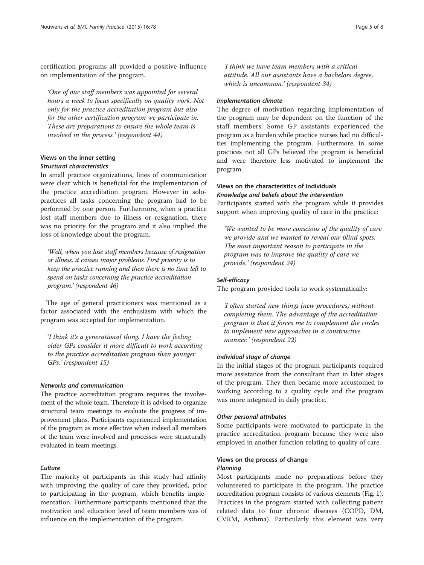certification programs all provided a positive influence on implementation of the program.

'One of our staff members was appointed for several hours a week to focus specifically on quality work. Not only for the practice accreditation program but also for the other certification program we participate in. These are preparations to ensure the whole team is involved in the process.' (respondent 44)

# Views on the inner setting Structural characteristics

In small practice organizations, lines of communication were clear which is beneficial for the implementation of the practice accreditation program. However in solopractices all tasks concerning the program had to be performed by one person. Furthermore, when a practice lost staff members due to illness or resignation, there was no priority for the program and it also implied the loss of knowledge about the program.

'Well, when you lose staff members because of resignation or illness, it causes major problems. First priority is to keep the practice running and then there is no time left to spend on tasks concerning the practice accreditation program.' (respondent 46)

The age of general practitioners was mentioned as a factor associated with the enthusiasm with which the program was accepted for implementation.

'I think it's a generational thing. I have the feeling older GPs consider it more difficult to work according to the practice accreditation program than younger GPs.' (respondent 15)

#### Networks and communication

The practice accreditation program requires the involvement of the whole team. Therefore it is advised to organize structural team meetings to evaluate the progress of improvement plans. Participants experienced implementation of the program as more effective when indeed all members of the team were involved and processes were structurally evaluated in team meetings.

# **Culture**

The majority of participants in this study had affinity with improving the quality of care they provided, prior to participating in the program, which benefits implementation. Furthermore participants mentioned that the motivation and education level of team members was of influence on the implementation of the program.

'I think we have team members with a critical attitude. All our assistants have a bachelors degree, which is uncommon.' (respondent 34)

# Implementation climate

The degree of motivation regarding implementation of the program may be dependent on the function of the staff members. Some GP assistants experienced the program as a burden while practice nurses had no difficulties implementing the program. Furthermore, in some practices not all GPs believed the program is beneficial and were therefore less motivated to implement the program.

# Views on the characteristics of individuals Knowledge and beliefs about the intervention

Participants started with the program while it provides support when improving quality of care in the practice:

'We wanted to be more conscious of the quality of care we provide and we wanted to reveal our blind spots. The most important reason to participate in the program was to improve the quality of care we provide.' (respondent 24)

# Self-efficacy

The program provided tools to work systematically:

'I often started new things (new procedures) without completing them. The advantage of the accreditation program is that it forces me to complement the circles to implement new approaches in a constructive manner.' (respondent 22)

# Individual stage of change

In the initial stages of the program participants required more assistance from the consultant than in later stages of the program. They then became more accustomed to working according to a quality cycle and the program was more integrated in daily practice.

#### Other personal attributes

Some participants were motivated to participate in the practice accreditation program because they were also employed in another function relating to quality of care.

# Views on the process of change Planning

Most participants made no preparations before they volunteered to participate in the program. The practice accreditation program consists of various elements (Fig. [1](#page-2-0)). Practices in the program started with collecting patient related data to four chronic diseases (COPD, DM, CVRM, Asthma). Particularly this element was very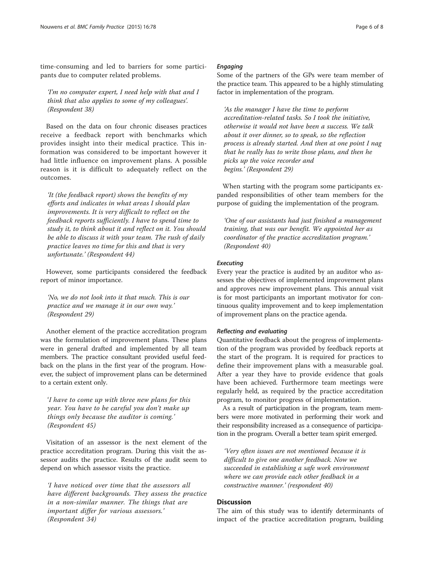time-consuming and led to barriers for some participants due to computer related problems.

'I'm no computer expert, I need help with that and I think that also applies to some of my colleagues'. (Respondent 38)

Based on the data on four chronic diseases practices receive a feedback report with benchmarks which provides insight into their medical practice. This information was considered to be important however it had little influence on improvement plans. A possible reason is it is difficult to adequately reflect on the outcomes.

'It (the feedback report) shows the benefits of my efforts and indicates in what areas I should plan improvements. It is very difficult to reflect on the feedback reports sufficiently. I have to spend time to study it, to think about it and reflect on it. You should be able to discuss it with your team. The rush of daily practice leaves no time for this and that is very unfortunate.' (Respondent 44)

However, some participants considered the feedback report of minor importance.

'No, we do not look into it that much. This is our practice and we manage it in our own way.' (Respondent 29)

Another element of the practice accreditation program was the formulation of improvement plans. These plans were in general drafted and implemented by all team members. The practice consultant provided useful feedback on the plans in the first year of the program. However, the subject of improvement plans can be determined to a certain extent only.

'I have to come up with three new plans for this year. You have to be careful you don't make up things only because the auditor is coming.' (Respondent 45)

Visitation of an assessor is the next element of the practice accreditation program. During this visit the assessor audits the practice. Results of the audit seem to depend on which assessor visits the practice.

'I have noticed over time that the assessors all have different backgrounds. They assess the practice in a non-similar manner. The things that are important differ for various assessors.' (Respondent 34)

# Engaging

Some of the partners of the GPs were team member of the practice team. This appeared to be a highly stimulating factor in implementation of the program.

'As the manager I have the time to perform accreditation-related tasks. So I took the initiative, otherwise it would not have been a success. We talk about it over dinner, so to speak, so the reflection process is already started. And then at one point I nag that he really has to write those plans, and then he picks up the voice recorder and begins.' (Respondent 29)

When starting with the program some participants expanded responsibilities of other team members for the purpose of guiding the implementation of the program.

'One of our assistants had just finished a management training, that was our benefit. We appointed her as coordinator of the practice accreditation program.' (Respondent 40)

#### **Executing**

Every year the practice is audited by an auditor who assesses the objectives of implemented improvement plans and approves new improvement plans. This annual visit is for most participants an important motivator for continuous quality improvement and to keep implementation of improvement plans on the practice agenda.

# Reflecting and evaluating

Quantitative feedback about the progress of implementation of the program was provided by feedback reports at the start of the program. It is required for practices to define their improvement plans with a measurable goal. After a year they have to provide evidence that goals have been achieved. Furthermore team meetings were regularly held, as required by the practice accreditation program, to monitor progress of implementation.

As a result of participation in the program, team members were more motivated in performing their work and their responsibility increased as a consequence of participation in the program. Overall a better team spirit emerged.

'Very often issues are not mentioned because it is difficult to give one another feedback. Now we succeeded in establishing a safe work environment where we can provide each other feedback in a constructive manner.' (respondent 40)

# **Discussion**

The aim of this study was to identify determinants of impact of the practice accreditation program, building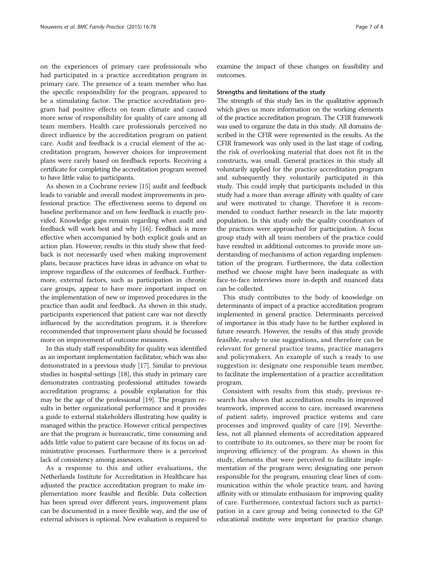on the experiences of primary care professionals who had participated in a practice accreditation program in primary care. The presence of a team member who has the specific responsibility for the program, appeared to be a stimulating factor. The practice accreditation program had positive effects on team climate and caused more sense of responsibility for quality of care among all team members. Health care professionals perceived no direct influence by the accreditation program on patient care. Audit and feedback is a crucial element of the accreditation program, however choices for improvement plans were rarely based on feedback reports. Receiving a certificate for completing the accreditation program seemed to have little value to participants.

As shown in a Cochrane review [\[15\]](#page-7-0) audit and feedback leads to variable and overall modest improvements in professional practice. The effectiveness seems to depend on baseline performance and on how feedback is exactly provided. Knowledge gaps remain regarding when audit and feedback will work best and why [[16](#page-7-0)]. Feedback is more effective when accompanied by both explicit goals and an action plan. However, results in this study show that feedback is not necessarily used when making improvement plans, because practices have ideas in advance on what to improve regardless of the outcomes of feedback. Furthermore, external factors, such as participation in chronic care groups, appear to have more important impact on the implementation of new or improved procedures in the practice than audit and feedback. As shown in this study, participants experienced that patient care was not directly influenced by the accreditation program, it is therefore recommended that improvement plans should be focussed more on improvement of outcome measures.

In this study staff responsibility for quality was identified as an important implementation facilitator, which was also demonstrated in a previous study [[17](#page-7-0)]. Similar to previous studies in hospital-settings [\[18\]](#page-7-0), this study in primary care demonstrates contrasting professional attitudes towards accreditation programs; a possible explanation for this may be the age of the professional [[19](#page-7-0)]. The program results in better organizational performance and it provides a guide to external stakeholders illustrating how quality is managed within the practice. However critical perspectives are that the program is bureaucratic, time consuming and adds little value to patient care because of its focus on administrative processes. Furthermore there is a perceived lack of consistency among assessors.

As a response to this and other evaluations, the Netherlands Institute for Accreditation in Healthcare has adjusted the practice accreditation program to make implementation more feasible and flexible. Data collection has been spread over different years, improvement plans can be documented in a more flexible way, and the use of external advisors is optional. New evaluation is required to examine the impact of these changes on feasibility and outcomes.

#### Strengths and limitations of the study

The strength of this study lies in the qualitative approach which gives us more information on the working elements of the practice accreditation program. The CFIR framework was used to organize the data in this study. All domains described in the CFIR were represented in the results. As the CFIR framework was only used in the last stage of coding, the risk of overlooking material that does not fit in the constructs, was small. General practices in this study all voluntarily applied for the practice accreditation program and subsequently they voluntarily participated in this study. This could imply that participants included in this study had a more than average affinity with quality of care and were motivated to change. Therefore it is recommended to conduct further research in the late majority population. In this study only the quality coordinators of the practices were approached for participation. A focus group study with all team members of the practice could have resulted in additional outcomes to provide more understanding of mechanisms of action regarding implementation of the program. Furthermore, the data collection method we choose might have been inadequate as with face-to-face interviews more in-depth and nuanced data can be collected.

This study contributes to the body of knowledge on determinants of impact of a practice accreditation program implemented in general practice. Determinants perceived of importance in this study have to be further explored in future research. However, the results of this study provide feasible, ready to use suggestions, and therefore can be relevant for general practice teams, practice managers and policymakers. An example of such a ready to use suggestion is: designate one responsible team member, to facilitate the implementation of a practice accreditation program.

Consistent with results from this study, previous research has shown that accreditation results in improved teamwork, improved access to care, increased awareness of patient safety, improved practice systems and care processes and improved quality of care [\[19\]](#page-7-0). Nevertheless, not all planned elements of accreditation appeared to contribute to its outcomes, so there may be room for improving efficiency of the program. As shown in this study, elements that were perceived to facilitate implementation of the program were; designating one person responsible for the program, ensuring clear lines of communication within the whole practice team, and having affinity with or stimulate enthusiasm for improving quality of care. Furthermore, contextual factors such as participation in a care group and being connected to the GP educational institute were important for practice change.